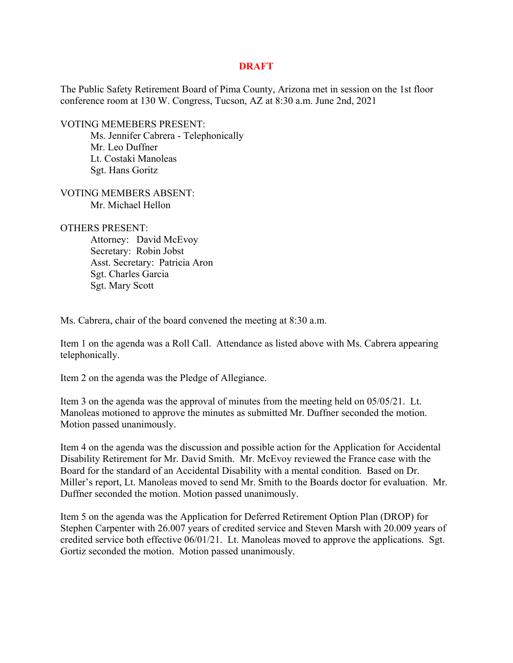## **DRAFT**

The Public Safety Retirement Board of Pima County, Arizona met in session on the 1st floor conference room at 130 W. Congress, Tucson, AZ at 8:30 a.m. June 2nd, 2021

VOTING MEMEBERS PRESENT:

 Ms. Jennifer Cabrera - Telephonically Mr. Leo Duffner Lt. Costaki Manoleas Sgt. Hans Goritz

VOTING MEMBERS ABSENT: Mr. Michael Hellon

OTHERS PRESENT:

 Attorney: David McEvoy Secretary: Robin Jobst Asst. Secretary: Patricia Aron Sgt. Charles Garcia Sgt. Mary Scott

Ms. Cabrera, chair of the board convened the meeting at 8:30 a.m.

Item 1 on the agenda was a Roll Call. Attendance as listed above with Ms. Cabrera appearing telephonically.

Item 2 on the agenda was the Pledge of Allegiance.

Item 3 on the agenda was the approval of minutes from the meeting held on 05/05/21. Lt. Manoleas motioned to approve the minutes as submitted Mr. Duffner seconded the motion. Motion passed unanimously.

Item 4 on the agenda was the discussion and possible action for the Application for Accidental Disability Retirement for Mr. David Smith. Mr. McEvoy reviewed the France case with the Board for the standard of an Accidental Disability with a mental condition. Based on Dr. Miller's report, Lt. Manoleas moved to send Mr. Smith to the Boards doctor for evaluation. Mr. Duffner seconded the motion. Motion passed unanimously.

Item 5 on the agenda was the Application for Deferred Retirement Option Plan (DROP) for Stephen Carpenter with 26.007 years of credited service and Steven Marsh with 20.009 years of credited service both effective 06/01/21. Lt. Manoleas moved to approve the applications. Sgt. Gortiz seconded the motion. Motion passed unanimously.